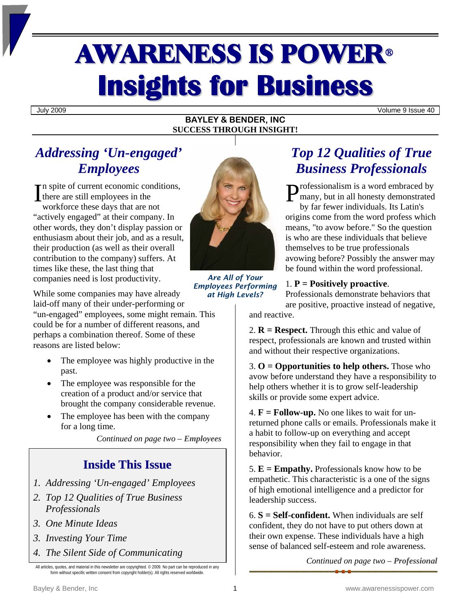# AWARENESS IS POWER<sup>ü</sup> **Insights for Business**

July 2009 Volume 9 Issue 40

### **BAYLEY & BENDER, INC SUCCESS THROUGH INSIGHT!**

# *Addressing 'Un-engaged' Employees*

 $\Gamma$  and spite of current economic conditions, there are still employees in the workforce these days that are not "actively engaged" at their company. In other words, they don't display passion or enthusiasm about their job, and as a result, their production (as well as their overall contribution to the company) suffers. At times like these, the last thing that companies need is lost productivity.

*Are All of Your Employees Performing at High Levels?*

While some companies may have already laid-off many of their under-performing or

"un-engaged" employees, some might remain. This could be for a number of different reasons, and perhaps a combination thereof. Some of these reasons are listed below:

- The employee was highly productive in the past.
- The employee was responsible for the creation of a product and/or service that brought the company considerable revenue.
- The employee has been with the company for a long time.

*Continued on page two – Employees* 

# **Inside This Issue**

- *1. Addressing 'Un-engaged' Employees*
- *2. Top 12 Qualities of True Business Professionals*
- *3. One Minute Ideas*
- *3. Investing Your Time*
- *4. The Silent Side of Communicating*

All articles, quotes, and material in this newsletter are copyrighted. © 2009. No part can be reproduced in any form without specific written consent from copyright holder(s). All rights reserved worldwide.



rofessionalism is a word embraced by many, but in all honesty demonstrated

by far fewer individuals. Its Latin's origins come from the word profess which means, "to avow before." So the question is who are these individuals that believe themselves to be true professionals avowing before? Possibly the answer may be found within the word professional.

## 1. **P = Positively proactive**.

Professionals demonstrate behaviors that are positive, proactive instead of negative,

and reactive.

2.  **= <b>Respect.** Through this ethic and value of respect, professionals are known and trusted within and without their respective organizations.

3. **O = Opportunities to help others.** Those who avow before understand they have a responsibility to help others whether it is to grow self-leadership skills or provide some expert advice.

4. **F = Follow-up.** No one likes to wait for unreturned phone calls or emails. Professionals make it a habit to follow-up on everything and accept responsibility when they fail to engage in that behavior.

5.  $E = Empathy$ . Professionals know how to be empathetic. This characteristic is a one of the signs of high emotional intelligence and a predictor for leadership success.

6. **S = Self-confident.** When individuals are self confident, they do not have to put others down at their own expense. These individuals have a high sense of balanced self-esteem and role awareness.

*Continued on page two – Professional*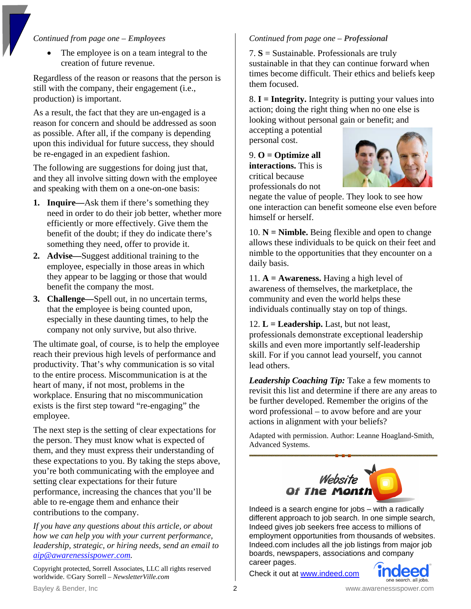## *Continued from page one – Employees*

• The employee is on a team integral to the creation of future revenue.

Regardless of the reason or reasons that the person is still with the company, their engagement (i.e., production) is important.

As a result, the fact that they are un-engaged is a reason for concern and should be addressed as soon as possible. After all, if the company is depending upon this individual for future success, they should be re-engaged in an expedient fashion.

The following are suggestions for doing just that, and they all involve sitting down with the employee and speaking with them on a one-on-one basis:

- **1. Inquire—**Ask them if there's something they need in order to do their job better, whether more efficiently or more effectively. Give them the benefit of the doubt; if they do indicate there's something they need, offer to provide it.
- **2. Advise—**Suggest additional training to the employee, especially in those areas in which they appear to be lagging or those that would benefit the company the most.
- **3. Challenge—**Spell out, in no uncertain terms, that the employee is being counted upon, especially in these daunting times, to help the company not only survive, but also thrive.

The ultimate goal, of course, is to help the employee reach their previous high levels of performance and productivity. That's why communication is so vital to the entire process. Miscommunication is at the heart of many, if not most, problems in the workplace. Ensuring that no miscommunication exists is the first step toward "re-engaging" the employee.

The next step is the setting of clear expectations for the person. They must know what is expected of them, and they must express their understanding of these expectations to you. By taking the steps above, you're both communicating with the employee and setting clear expectations for their future performance, increasing the chances that you'll be able to re-engage them and enhance their contributions to the company.

*If you have any questions about this article, or about how we can help you with your current performance, leadership, strategic, or hiring needs, send an email to [aip@awarenessispower.com.](mailto:aip@awarenessispower.com)* 

Copyright protected, Sorrell Associates, LLC all rights reserved worldwide. ©Gary Sorrell – *NewsletterVille.com* 

## *Continued from page one – Professional*

7. **S** = Sustainable. Professionals are truly sustainable in that they can continue forward when times become difficult. Their ethics and beliefs keep them focused.

8. **I = Integrity.** Integrity is putting your values into action; doing the right thing when no one else is looking without personal gain or benefit; and

accepting a potential personal cost.

9. **O = Optimize all interactions.** This is critical because professionals do not



negate the value of people. They look to see how one interaction can benefit someone else even before himself or herself.

10.  $N =$  **Nimble.** Being flexible and open to change allows these individuals to be quick on their feet and nimble to the opportunities that they encounter on a daily basis.

11. **A = Awareness.** Having a high level of awareness of themselves, the marketplace, the community and even the world helps these individuals continually stay on top of things.

12.  $L =$  **Leadership.** Last, but not least, professionals demonstrate exceptional leadership skills and even more importantly self-leadership skill. For if you cannot lead yourself, you cannot lead others.

*Leadership Coaching Tip:* Take a few moments to revisit this list and determine if there are any areas to be further developed. Remember the origins of the word professional – to avow before and are your actions in alignment with your beliefs?

Adapted with permission. Author: Leanne Hoagland-Smith, Advanced Systems.



Indeed is a search engine for jobs – with a radically different approach to job search. In one simple search, Indeed gives job seekers free access to millions of employment opportunities from thousands of websites. Indeed.com includes all the job listings from major job boards, newspapers, associations and company career pages.

Check it out at [www.indeed.com](http://www.indeed.com/)

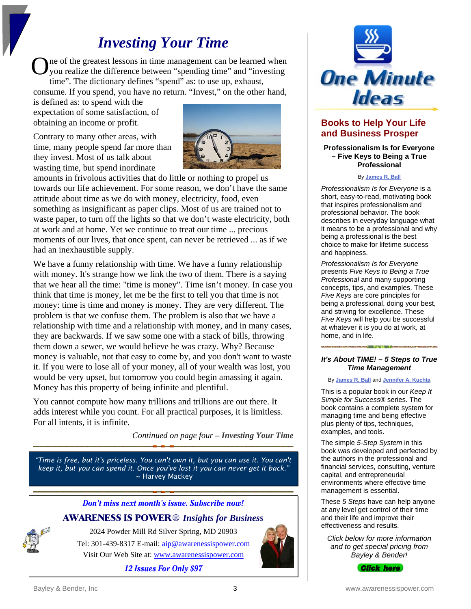# *Investing Your Time*

ne of the greatest lessons in time management can be learned when you realize the difference between "spending time" and "investing time". The dictionary defines "spend" as: to use up, exhaust, O

consume. If you spend, you have no return. "Invest," on the other hand,

is defined as: to spend with the expectation of some satisfaction, of obtaining an income or profit.

Contrary to many other areas, with time, many people spend far more than they invest. Most of us talk about wasting time, but spend inordinate



amounts in frivolous activities that do little or nothing to propel us towards our life achievement. For some reason, we don't have the same attitude about time as we do with money, electricity, food, even something as insignificant as paper clips. Most of us are trained not to waste paper, to turn off the lights so that we don't waste electricity, both at work and at home. Yet we continue to treat our time ... precious moments of our lives, that once spent, can never be retrieved ... as if we had an inexhaustible supply.

We have a funny relationship with time. We have a funny relationship with money. It's strange how we link the two of them. There is a saying that we hear all the time: "time is money". Time isn't money. In case you think that time is money, let me be the first to tell you that time is not money: time is time and money is money. They are very different. The problem is that we confuse them. The problem is also that we have a relationship with time and a relationship with money, and in many cases, they are backwards. If we saw some one with a stack of bills, throwing them down a sewer, we would believe he was crazy. Why? Because money is valuable, not that easy to come by, and you don't want to waste it. If you were to lose all of your money, all of your wealth was lost, you would be very upset, but tomorrow you could begin amassing it again. Money has this property of being infinite and plentiful.

You cannot compute how many trillions and trillions are out there. It adds interest while you count. For all practical purposes, it is limitless. For all intents, it is infinite.

*Continued on page four – Investing Your Time* 

*"Time is free, but it's priceless. You can't own it, but you can use it. You can't keep it, but you can spend it. Once you've lost it you can never get it back."*  ~ Harvey Mackey





# **Books to Help Your Life and Business Prosper**

**Professionalism Is for Everyone – Five Keys to Being a True Professional** 

#### By **[James R. Ball](http://www.goalpower.com/About-Us/Jim-Ball.html)**

*Professionalism Is for Everyone* is a short, easy-to-read, motivating book that inspires professionalism and professional behavior. The book describes in everyday language what it means to be a professional and why being a professional is the best choice to make for lifetime success and happiness.

*Professionalism Is for Everyone* presents *Five Keys to Being a True Professional* and many supporting concepts, tips, and examples. These *Five Keys* are core principles for being a professional, doing your best, and striving for excellence. These *Five Keys* will help you be successful at whatever it is you do at work, at home, and in life.

#### *It's About TIME! – 5 Steps to True Time Management*

By **[James R. Ball](http://www.goalpower.com/About-Us/Jim-Ball.html)** and **[Jennifer A. Kuchta](http://www.goalpower.com/About-Us/Jennifer-Kuchta.html)**

This is a popular book in our *Keep It Simple for Success®* series. The book contains a complete system for managing time and being effective plus plenty of tips, techniques, examples, and tools.

The simple *5-Step System* in this book was developed and perfected by the authors in the professional and financial services, consulting, venture capital, and entrepreneurial environments where effective time management is essential.

These *5 Steps* have can help anyone at any level get control of their time and their life and improve their effectiveness and results.

*Click below for more information and to get special pricing from Bayley & Bender!*